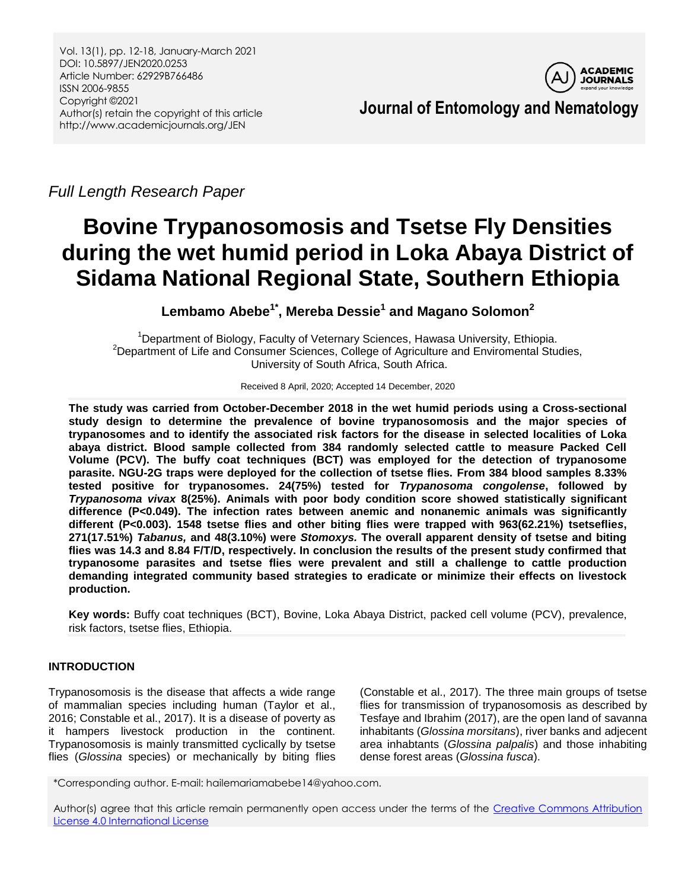Vol. 13(1), pp. 12-18, January-March 2021 DOI: 10.5897/JEN2020.0253 Article Number: 62929B766486 ISSN 2006-9855 Copyright ©2021 Author(s) retain the copyright of this article http://www.academicjournals.org/JEN



**Journal of Entomology and Nematology**

*Full Length Research Paper*

# **Bovine Trypanosomosis and Tsetse Fly Densities during the wet humid period in Loka Abaya District of Sidama National Regional State, Southern Ethiopia**

**Lembamo Abebe1\* , Mereba Dessie<sup>1</sup> and Magano Solomon<sup>2</sup>**

<sup>1</sup>Department of Biology, Faculty of Veternary Sciences, Hawasa University, Ethiopia.  $2D$ epartment of Life and Consumer Sciences, College of Agriculture and Enviromental Studies, University of South Africa, South Africa.

Received 8 April, 2020; Accepted 14 December, 2020

**The study was carried from October-December 2018 in the wet humid periods using a Cross-sectional study design to determine the prevalence of bovine trypanosomosis and the major species of trypanosomes and to identify the associated risk factors for the disease in selected localities of Loka abaya district. Blood sample collected from 384 randomly selected cattle to measure Packed Cell Volume (PCV). The buffy coat techniques (BCT) was employed for the detection of trypanosome parasite. NGU-2G traps were deployed for the collection of tsetse flies. From 384 blood samples 8.33% tested positive for trypanosomes. 24(75%) tested for** *Trypanosoma congolense***, followed by**  *Trypanosoma vivax* **8(25%). Animals with poor body condition score showed statistically significant difference (P<0.049). The infection rates between anemic and nonanemic animals was significantly different (P<0.003). 1548 tsetse flies and other biting flies were trapped with 963(62.21%) tsetseflie***s***, 271(17.51%)** *Tabanus,* **and 48(3.10%) were** *Stomoxys.* **The overall apparent density of tsetse and biting flies was 14.3 and 8.84 F/T/D, respectively. In conclusion the results of the present study confirmed that trypanosome parasites and tsetse flies were prevalent and still a challenge to cattle production demanding integrated community based strategies to eradicate or minimize their effects on livestock production.**

**Key words:** Buffy coat techniques (BCT), Bovine, Loka Abaya District, packed cell volume (PCV), prevalence, risk factors, tsetse flies, Ethiopia.

# **INTRODUCTION**

Trypanosomosis is the disease that affects a wide range of mammalian species including human (Taylor et al., 2016; Constable et al., 2017). It is a disease of poverty as it hampers livestock production in the continent. Trypanosomosis is mainly transmitted cyclically by tsetse flies (*Glossina* species) or mechanically by biting flies

(Constable et al., 2017). The three main groups of tsetse flies for transmission of trypanosomosis as described by Tesfaye and Ibrahim (2017), are the open land of savanna inhabitants (*Glossina morsitans*), river banks and adjecent area inhabtants (*Glossina palpalis*) and those inhabiting dense forest areas (*Glossina fusca*).

\*Corresponding author. E-mail: hailemariamabebe14@yahoo.com.

Author(s) agree that this article remain permanently open access under the terms of the Creative Commons Attribution [License 4.0 International License](http://creativecommons.org/licenses/by/4.0/deed.en_US)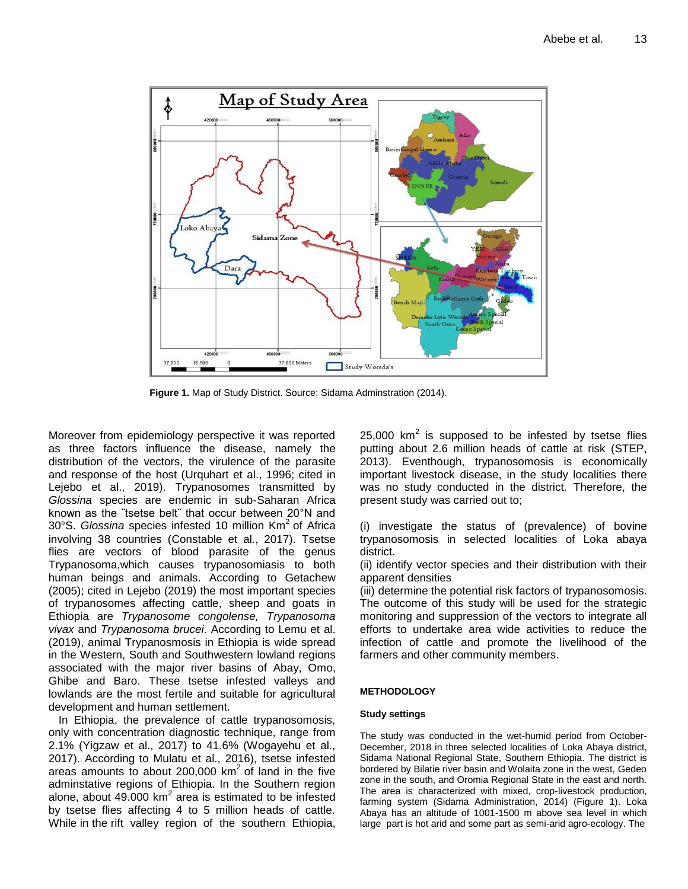

**Figure 1.** Map of Study District. Source: Sidama Adminstration (2014).

Moreover from epidemiology perspective it was reported as three factors influence the disease, namely the distribution of the vectors, the virulence of the parasite and response of the host (Urquhart et al., 1996; cited in Lejebo et al., 2019). Trypanosomes transmitted by *Glossina* species are endemic in sub-Saharan Africa known as the ˝tsetse belt˝ that occur between 20°N and 30°S. Glossina species infested 10 million Km<sup>2</sup> of Africa involving 38 countries (Constable et al., 2017). Tsetse flies are vectors of blood parasite of the genus Trypanosoma,which causes trypanosomiasis to both human beings and animals. According to Getachew (2005); cited in Lejebo (2019) the most important species of trypanosomes affecting cattle, sheep and goats in Ethiopia are *Trypanosome congolense, Trypanosoma vivax* and *Trypanosoma brucei*. According to Lemu et al. (2019), animal Trypanosmosis in Ethiopia is wide spread in the Western, South and Southwestern lowland regions associated with the major river basins of Abay, Omo, Ghibe and Baro. These tsetse infested valleys and lowlands are the most fertile and suitable for agricultural development and human settlement.

In Ethiopia, the prevalence of cattle trypanosomosis, only with concentration diagnostic technique, range from 2.1% (Yigzaw et al., 2017) to 41.6% (Wogayehu et al., 2017). According to Mulatu et al., 2016), tsetse infested areas amounts to about 200,000  $km^2$  of land in the five adminstative regions of Ethiopia. In the Southern region alone, about 49.000 km<sup>2</sup> area is estimated to be infested by tsetse flies affecting 4 to 5 million heads of cattle. While in the rift valley region of the southern Ethiopia,

25,000  $km^2$  is supposed to be infested by tsetse flies putting about 2.6 million heads of cattle at risk (STEP, 2013). Eventhough, trypanosomosis is economically important livestock disease, in the study localities there was no study conducted in the district. Therefore, the present study was carried out to;

(i) investigate the status of (prevalence) of bovine trypanosomosis in selected localities of Loka abaya district.

(ii) identify vector species and their distribution with their apparent densities

(iii) determine the potential risk factors of trypanosomosis. The outcome of this study will be used for the strategic monitoring and suppression of the vectors to integrate all efforts to undertake area wide activities to reduce the infection of cattle and promote the livelihood of the farmers and other community members.

# **METHODOLOGY**

## **Study settings**

The study was conducted in the wet-humid period from October-December, 2018 in three selected localities of Loka Abaya district, Sidama National Regional State, Southern Ethiopia. The district is bordered by Bilatie river basin and Wolaita zone in the west, Gedeo zone in the south, and Oromia Regional State in the east and north. The area is characterized with mixed, crop-livestock production, farming system (Sidama Administration, 2014) (Figure 1). Loka Abaya has an altitude of 1001-1500 m above sea level in which large part is hot arid and some part as semi-arid agro-ecology. The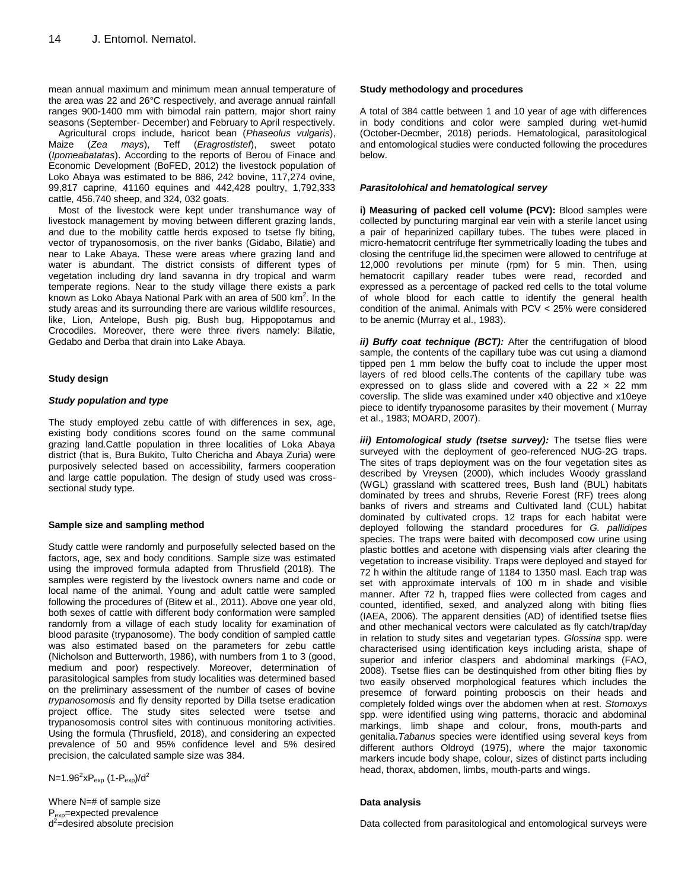mean annual maximum and minimum mean annual temperature of the area was 22 and 26°C respectively, and average annual rainfall ranges 900-1400 mm with bimodal rain pattern, major short rainy seasons (September- December) and February to April respectively.

Agricultural crops include, haricot bean (*Phaseolus vulgaris*), Maize (*Zea mays*), Teff (*Eragrostistef*), sweet potato (*Ipomeabatatas*). According to the reports of Berou of Finace and Economic Development (BoFED, 2012) the livestock population of Loko Abaya was estimated to be 886, 242 bovine, 117,274 ovine, 99,817 caprine, 41160 equines and 442,428 poultry, 1,792,333 cattle, 456,740 sheep, and 324, 032 goats.

Most of the livestock were kept under transhumance way of livestock management by moving between different grazing lands, and due to the mobility cattle herds exposed to tsetse fly biting, vector of trypanosomosis, on the river banks (Gidabo, Bilatie) and near to Lake Abaya. These were areas where grazing land and water is abundant. The district consists of different types of vegetation including dry land savanna in dry tropical and warm temperate regions. Near to the study village there exists a park known as Loko Abaya National Park with an area of 500 km<sup>2</sup>. In the study areas and its surrounding there are various wildlife resources, like, Lion, Antelope, Bush pig, Bush bug, Hippopotamus and Crocodiles. Moreover, there were three rivers namely: Bilatie, Gedabo and Derba that drain into Lake Abaya.

### **Study design**

#### *Study population and type*

The study employed zebu cattle of with differences in sex, age, existing body conditions scores found on the same communal grazing land.Cattle population in three localities of Loka Abaya district (that is, Bura Bukito, Tulto Chericha and Abaya Zuria) were purposively selected based on accessibility, farmers cooperation and large cattle population. The design of study used was crosssectional study type.

## **Sample size and sampling method**

Study cattle were randomly and purposefully selected based on the factors, age, sex and body conditions. Sample size was estimated using the improved formula adapted from Thrusfield (2018). The samples were registerd by the livestock owners name and code or local name of the animal. Young and adult cattle were sampled following the procedures of (Bitew et al., 2011). Above one year old, both sexes of cattle with different body conformation were sampled randomly from a village of each study locality for examination of blood parasite (trypanosome). The body condition of sampled cattle was also estimated based on the parameters for zebu cattle (Nicholson and Butterworth, 1986), with numbers from 1 to 3 (good, medium and poor) respectively. Moreover, determination of parasitological samples from study localities was determined based on the preliminary assessment of the number of cases of bovine *trypanosomosis* and fly density reported by Dilla tsetse eradication project office. The study sites selected were tsetse and trypanosomosis control sites with continuous monitoring activities. Using the formula (Thrusfield, 2018), and considering an expected prevalence of 50 and 95% confidence level and 5% desired precision, the calculated sample size was 384.

 $\mathsf{N}{=}1.96^2$ x $\mathsf{P}_{\mathsf{exp}}$  (1- $\mathsf{P}_{\mathsf{exp}}$ )/d $^2$ 

Where N=# of sample size Pexp=expected prevalence d<sup>2</sup>=desired absolute precision

#### **Study methodology and procedures**

A total of 384 cattle between 1 and 10 year of age with differences in body conditions and color were sampled during wet-humid (October-Decmber, 2018) periods. Hematological, parasitological and entomological studies were conducted following the procedures below.

#### *Parasitolohical and hematological servey*

**i) Measuring of packed cell volume (PCV):** Blood samples were collected by puncturing marginal ear vein with a sterile lancet using a pair of heparinized capillary tubes. The tubes were placed in micro-hematocrit centrifuge fter symmetrically loading the tubes and closing the centrifuge lid,the specimen were allowed to centrifuge at 12,000 revolutions per minute (rpm) for 5 min. Then, using hematocrit capillary reader tubes were read, recorded and expressed as a percentage of packed red cells to the total volume of whole blood for each cattle to identify the general health condition of the animal. Animals with PCV < 25% were considered to be anemic (Murray et al., 1983).

*ii) Buffy coat technique (BCT):* After the centrifugation of blood sample, the contents of the capillary tube was cut using a diamond tipped pen 1 mm below the buffy coat to include the upper most layers of red blood cells.The contents of the capillary tube was expressed on to glass slide and covered with a  $22 \times 22$  mm coverslip. The slide was examined under x40 objective and x10eye piece to identify trypanosome parasites by their movement ( Murray et al., 1983; MOARD, 2007).

*iii) Entomological study (tsetse survey):* The tsetse flies were surveyed with the deployment of geo-referenced NUG-2G traps. The sites of traps deployment was on the four vegetation sites as described by Vreysen (2000), which includes Woody grassland (WGL) grassland with scattered trees, Bush land (BUL) habitats dominated by trees and shrubs, Reverie Forest (RF) trees along banks of rivers and streams and Cultivated land (CUL) habitat dominated by cultivated crops. 12 traps for each habitat were deployed following the standard procedures for *G. pallidipes* species. The traps were baited with decomposed cow urine using plastic bottles and acetone with dispensing vials after clearing the vegetation to increase visibility. Traps were deployed and stayed for 72 h within the altitude range of 1184 to 1350 masl. Each trap was set with approximate intervals of 100 m in shade and visible manner. After 72 h, trapped flies were collected from cages and counted, identified, sexed, and analyzed along with biting flies (IAEA, 2006). The apparent densities (AD) of identified tsetse flies and other mechanical vectors were calculated as fly catch/trap/day in relation to study sites and vegetarian types. *Glossina* spp. were characterised using identification keys including arista, shape of superior and inferior claspers and abdominal markings (FAO, 2008). Tsetse flies can be destinquished from other biting flies by two easily observed morphological features which includes the presemce of forward pointing proboscis on their heads and completely folded wings over the abdomen when at rest. *Stomoxys* spp. were identified using wing patterns, thoracic and abdominal markings, limb shape and colour, frons, mouth-parts and genitalia.*Tabanus* species were identified using several keys from different authors Oldroyd (1975), where the major taxonomic markers incude body shape, colour, sizes of distinct parts including head, thorax, abdomen, limbs, mouth-parts and wings.

#### **Data analysis**

Data collected from parasitological and entomological surveys were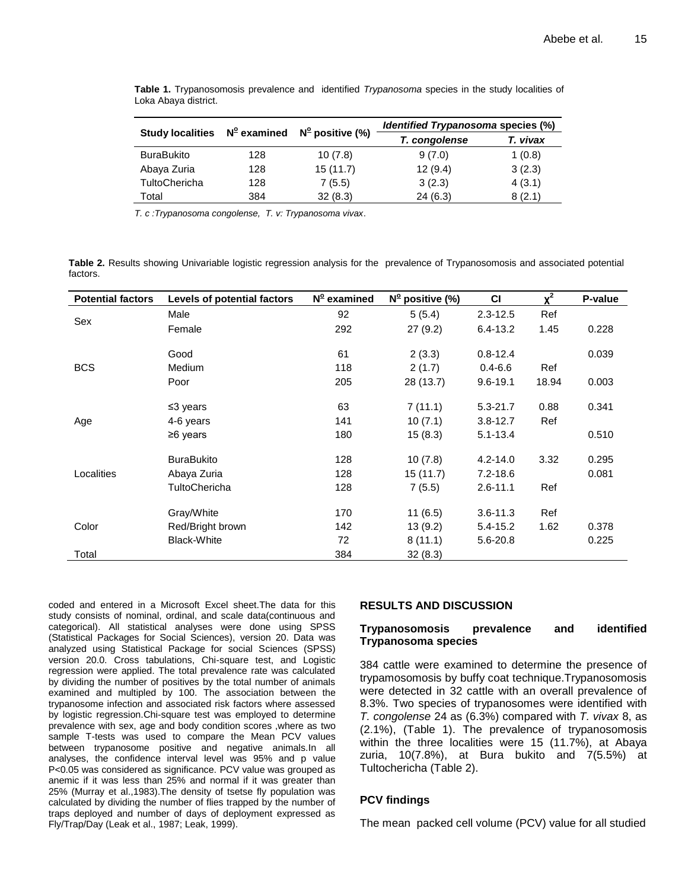|                         | N <sup>o</sup> examined | $N^{\circ}$ positive (%) | Identified Trypanosoma species (%) |          |  |  |
|-------------------------|-------------------------|--------------------------|------------------------------------|----------|--|--|
| <b>Study localities</b> |                         |                          | T. congolense                      | T. vivax |  |  |
| <b>BuraBukito</b>       | 128                     | 10(7.8)                  | 9(7.0)                             | 1(0.8)   |  |  |
| Abaya Zuria             | 128                     | 15(11.7)                 | 12(9.4)                            | 3(2.3)   |  |  |
| TultoChericha           | 128                     | 7(5.5)                   | 3(2.3)                             | 4(3.1)   |  |  |
| Total                   | 384                     | 32(8.3)                  | 24(6.3)                            | 8(2.1)   |  |  |

**Table 1.** Trypanosomosis prevalence and identified *Trypanosoma* species in the study localities of Loka Abaya district.

*T. c :Trypanosoma congolense, T. v: Trypanosoma vivax*.

**Table 2.** Results showing Univariable logistic regression analysis for the prevalence of Trypanosomosis and associated potential factors.

| <b>Potential factors</b> | Levels of potential factors | $N^{\circ}$ examined | $N^{\circ}$ positive (%) | <b>CI</b>    | $x^2$ | P-value |
|--------------------------|-----------------------------|----------------------|--------------------------|--------------|-------|---------|
| Sex                      | Male                        | 92                   | 5(5.4)                   | $2.3 - 12.5$ | Ref   |         |
|                          | Female                      | 292                  | 27(9.2)                  | $6.4 - 13.2$ | 1.45  | 0.228   |
| <b>BCS</b>               | Good                        | 61                   | 2(3.3)                   | $0.8 - 12.4$ |       | 0.039   |
|                          | Medium                      | 118                  | 2(1.7)                   | $0.4 - 6.6$  | Ref   |         |
|                          | Poor                        | 205                  | 28 (13.7)                | $9.6 - 19.1$ | 18.94 | 0.003   |
| Age                      | $≤3$ years                  | 63                   | 7(11.1)                  | $5.3 - 21.7$ | 0.88  | 0.341   |
|                          | 4-6 years                   | 141                  | 10(7.1)                  | $3.8 - 12.7$ | Ref   |         |
|                          | $\geq 6$ years              | 180                  | 15(8.3)                  | $5.1 - 13.4$ |       | 0.510   |
| Localities               | <b>BuraBukito</b>           | 128                  | 10(7.8)                  | $4.2 - 14.0$ | 3.32  | 0.295   |
|                          | Abaya Zuria                 | 128                  | 15 (11.7)                | $7.2 - 18.6$ |       | 0.081   |
|                          | TultoChericha               | 128                  | 7(5.5)                   | $2.6 - 11.1$ | Ref   |         |
| Color                    | Gray/White                  | 170                  | 11(6.5)                  | $3.6 - 11.3$ | Ref   |         |
|                          | Red/Bright brown            | 142                  | 13(9.2)                  | $5.4 - 15.2$ | 1.62  | 0.378   |
|                          | <b>Black-White</b>          | 72                   | 8(11.1)                  | $5.6 - 20.8$ |       | 0.225   |
| Total                    |                             | 384                  | 32(8.3)                  |              |       |         |

coded and entered in a Microsoft Excel sheet.The data for this study consists of nominal, ordinal, and scale data(continuous and categorical). All statistical analyses were done using SPSS (Statistical Packages for Social Sciences), version 20. Data was analyzed using Statistical Package for social Sciences (SPSS) version 20.0. Cross tabulations, Chi-square test, and Logistic regression were applied. The total prevalence rate was calculated by dividing the number of positives by the total number of animals examined and multipled by 100. The association between the trypanosome infection and associated risk factors where assessed by logistic regression.Chi-square test was employed to determine prevalence with sex, age and body condition scores ,where as two sample T-tests was used to compare the Mean PCV values between trypanosome positive and negative animals.In all analyses, the confidence interval level was 95% and p value P<0.05 was considered as significance. PCV value was grouped as anemic if it was less than 25% and normal if it was greater than 25% (Murray et al.,1983).The density of tsetse fly population was calculated by dividing the number of flies trapped by the number of traps deployed and number of days of deployment expressed as Fly/Trap/Day (Leak et al., 1987; Leak, 1999).

## **RESULTS AND DISCUSSION**

## **Trypanosomosis prevalence and identified Trypanosoma species**

384 cattle were examined to determine the presence of trypamosomosis by buffy coat technique.Trypanosomosis were detected in 32 cattle with an overall prevalence of 8.3%. Two species of trypanosomes were identified with *T. congolense* 24 as (6.3%) compared with *T. vivax* 8, as (2.1%), (Table 1). The prevalence of trypanosomosis within the three localities were 15 (11.7%), at Abaya zuria, 10(7.8%), at Bura bukito and 7(5.5%) at Tultochericha (Table 2).

# **PCV findings**

The mean packed cell volume (PCV) value for all studied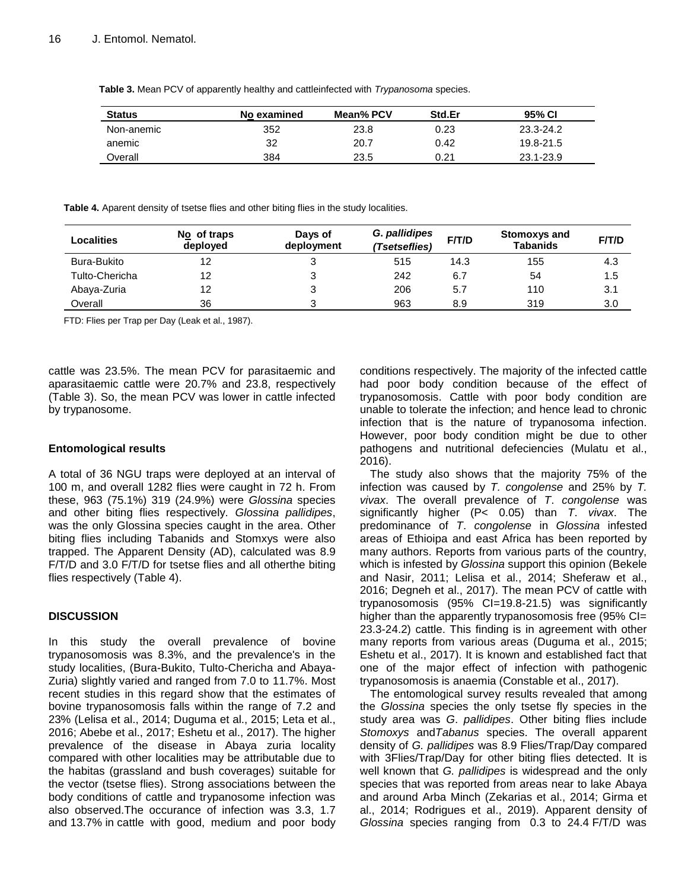**Table 3.** Mean PCV of apparently healthy and cattleinfected with *Trypanosoma* species.

| <b>Status</b> | No examined | Mean% PCV | Std.Er | 95% CI    |
|---------------|-------------|-----------|--------|-----------|
| Non-anemic    | 352         | 23.8      | 0.23   | 23.3-24.2 |
| anemic        | 32          | 20.7      | 0.42   | 19.8-21.5 |
| Overall       | 384         | 23.5      | 0.21   | 23.1-23.9 |

**Table 4.** Aparent density of tsetse flies and other biting flies in the study localities.

| Localities     | No of traps<br>deployed | Days of<br>deployment | G. pallidipes<br>(Tsetseflies) | F/T/D | <b>Stomoxys and</b><br>Tabanids | <b>F/T/D</b> |
|----------------|-------------------------|-----------------------|--------------------------------|-------|---------------------------------|--------------|
| Bura-Bukito    | 12                      |                       | 515                            | 14.3  | 155                             | 4.3          |
| Tulto-Chericha | 12                      |                       | 242                            | 6.7   | 54                              | 1.5          |
| Abaya-Zuria    | 12                      |                       | 206                            | 5.7   | 110                             | 3.1          |
| Overall        | 36                      |                       | 963                            | 8.9   | 319                             | 3.0          |

FTD: Flies per Trap per Day (Leak et al., 1987).

cattle was 23.5%. The mean PCV for parasitaemic and aparasitaemic cattle were 20.7% and 23.8, respectively (Table 3). So, the mean PCV was lower in cattle infected by trypanosome.

# **Entomological results**

A total of 36 NGU traps were deployed at an interval of 100 m, and overall 1282 flies were caught in 72 h. From these, 963 (75.1%) 319 (24.9%) were *Glossina* species and other biting flies respectively. *Glossina pallidipes*, was the only Glossina species caught in the area. Other biting flies including Tabanids and Stomxys were also trapped. The Apparent Density (AD), calculated was 8.9 F/T/D and 3.0 F/T/D for tsetse flies and all otherthe biting flies respectively (Table 4).

# **DISCUSSION**

In this study the overall prevalence of bovine trypanosomosis was 8.3%, and the prevalence's in the study localities, (Bura-Bukito, Tulto-Chericha and Abaya-Zuria) slightly varied and ranged from 7.0 to 11.7%. Most recent studies in this regard show that the estimates of bovine trypanosomosis falls within the range of 7.2 and 23% (Lelisa et al., 2014; Duguma et al., 2015; Leta et al., 2016; Abebe et al., 2017; Eshetu et al., 2017). The higher prevalence of the disease in Abaya zuria locality compared with other localities may be attributable due to the habitas (grassland and bush coverages) suitable for the vector (tsetse flies). Strong associations between the body conditions of cattle and trypanosome infection was also observed.The occurance of infection was 3.3, 1.7 and 13.7% in cattle with good, medium and poor body

conditions respectively. The majority of the infected cattle had poor body condition because of the effect of trypanosomosis. Cattle with poor body condition are unable to tolerate the infection; and hence lead to chronic infection that is the nature of trypanosoma infection. However, poor body condition might be due to other pathogens and nutritional defeciencies (Mulatu et al., 2016).

The study also shows that the majority 75% of the infection was caused by *T. congolense* and 25% by *T. vivax*. The overall prevalence of *T*. *congolense* was significantly higher (P< 0.05) than *T*. *vivax*. The predominance of *T*. *congolense* in *Glossina* infested areas of Ethioipa and east Africa has been reported by many authors. Reports from various parts of the country, which is infested by *Glossina* support this opinion (Bekele and Nasir, 2011; Lelisa et al., 2014; Sheferaw et al., 2016; Degneh et al., 2017). The mean PCV of cattle with trypanosomosis (95% CI=19.8-21.5) was significantly higher than the apparently trypanosomosis free (95% CI= 23.3-24.2) cattle. This finding is in agreement with other many reports from various areas (Duguma et al., 2015; Eshetu et al., 2017). It is known and established fact that one of the major effect of infection with pathogenic trypanosomosis is anaemia (Constable et al., 2017).

The entomological survey results revealed that among the *Glossina* species the only tsetse fly species in the study area was *G*. *pallidipes*. Other biting flies include *Stomoxys* and*Tabanus* species. The overall apparent density of *G. pallidipes* was 8.9 Flies/Trap/Day compared with 3Flies/Trap/Day for other biting flies detected. It is well known that *G. pallidipes* is widespread and the only species that was reported from areas near to lake Abaya and around Arba Minch (Zekarias et al., 2014; Girma et al., 2014; Rodrigues et al., 2019). Apparent density of *Glossina* species ranging from 0.3 to 24.4 F/T/D was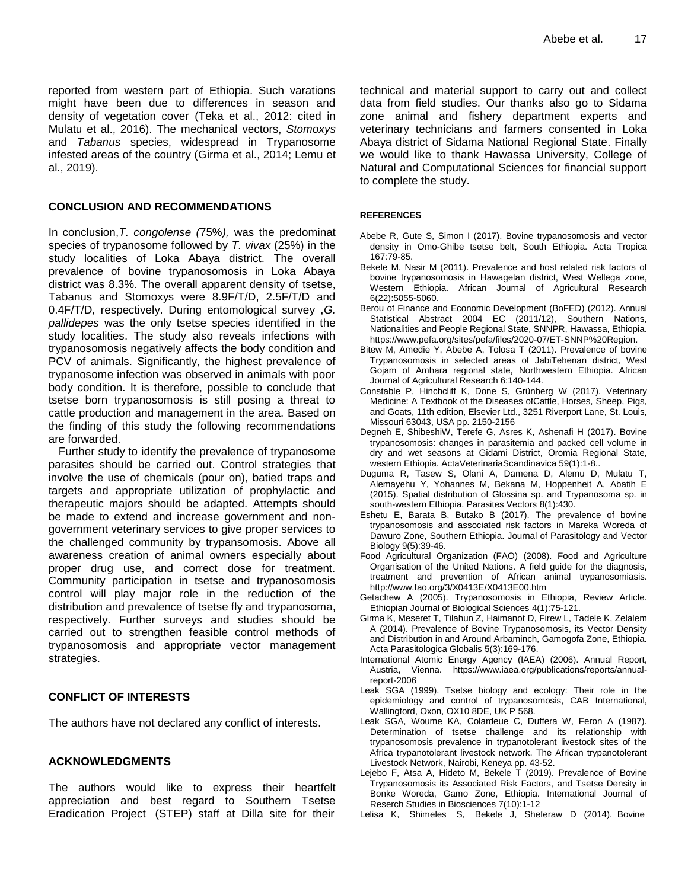reported from western part of Ethiopia. Such varations might have been due to differences in season and density of vegetation cover (Teka et al., 2012: cited in Mulatu et al., 2016). The mechanical vectors, *Stomoxys* and *Tabanus* species, widespread in Trypanosome infested areas of the country (Girma et al., 2014; Lemu et al., 2019).

## **CONCLUSION AND RECOMMENDATIONS**

In conclusion,*T. congolense (*75%*),* was the predominat species of trypanosome followed by *T. vivax* (25%) in the study localities of Loka Abaya district. The overall prevalence of bovine trypanosomosis in Loka Abaya district was 8.3%. The overall apparent density of tsetse, Tabanus and Stomoxys were 8.9F/T/D, 2.5F/T/D and 0.4F/T/D, respectively. During entomological survey ,*G. pallidepes* was the only tsetse species identified in the study localities. The study also reveals infections with trypanosomosis negatively affects the body condition and PCV of animals. Significantly, the highest prevalence of trypanosome infection was observed in animals with poor body condition. It is therefore, possible to conclude that tsetse born trypanosomosis is still posing a threat to cattle production and management in the area. Based on the finding of this study the following recommendations are forwarded.

Further study to identify the prevalence of trypanosome parasites should be carried out. Control strategies that involve the use of chemicals (pour on), batied traps and targets and appropriate utilization of prophylactic and therapeutic majors should be adapted. Attempts should be made to extend and increase government and nongovernment veterinary services to give proper services to the challenged community by trypansomosis. Above all awareness creation of animal owners especially about proper drug use, and correct dose for treatment. Community participation in tsetse and trypanosomosis control will play major role in the reduction of the distribution and prevalence of tsetse fly and trypanosoma, respectively. Further surveys and studies should be carried out to strengthen feasible control methods of trypanosomosis and appropriate vector management strategies.

# **CONFLICT OF INTERESTS**

The authors have not declared any conflict of interests.

## **ACKNOWLEDGMENTS**

The authors would like to express their heartfelt appreciation and best regard to Southern Tsetse Eradication Project (STEP) staff at Dilla site for their

technical and material support to carry out and collect data from field studies. Our thanks also go to Sidama zone animal and fishery department experts and veterinary technicians and farmers consented in Loka Abaya district of Sidama National Regional State. Finally we would like to thank Hawassa University, College of Natural and Computational Sciences for financial support to complete the study.

### **REFERENCES**

- Abebe R, Gute S, Simon I (2017). Bovine trypanosomosis and vector density in Omo-Ghibe tsetse belt, South Ethiopia. Acta Tropica 167:79-85.
- Bekele M, Nasir M (2011). Prevalence and host related risk factors of bovine trypanosomosis in Hawagelan district, West Wellega zone, Western Ethiopia. African Journal of Agricultural Research 6(22):5055-5060.
- Berou of Finance and Economic Development (BoFED) (2012). Annual Statistical Abstract 2004 EC (2011/12), Southern Nations, Nationalities and People Regional State, SNNPR, Hawassa, Ethiopia. https://www.pefa.org/sites/pefa/files/2020-07/ET-SNNP%20Region.
- Bitew M, Amedie Y, Abebe A, Tolosa T (2011). Prevalence of bovine Trypanosomosis in selected areas of JabiTehenan district, West Gojam of Amhara regional state, Northwestern Ethiopia. African Journal of Agricultural Research 6:140-144.
- Constable P, Hinchcliff K, Done S, Grünberg W (2017). Veterinary Medicine: A Textbook of the Diseases ofCattle, Horses, Sheep, Pigs, and Goats, 11th edition, Elsevier Ltd., 3251 Riverport Lane, St. Louis, Missouri 63043, USA pp. 2150-2156
- Degneh E, ShibeshiW, Terefe G, Asres K, Ashenafi H (2017). Bovine trypanosomosis: changes in parasitemia and packed cell volume in dry and wet seasons at Gidami District, Oromia Regional State, western Ethiopia. ActaVeterinariaScandinavica 59(1):1-8..
- Duguma R, Tasew S, Olani A, Damena D, Alemu D, Mulatu T, Alemayehu Y, Yohannes M, Bekana M, Hoppenheit A, Abatih E (2015). Spatial distribution of Glossina sp. and Trypanosoma sp. in south-western Ethiopia. Parasites Vectors 8(1):430.
- Eshetu E, Barata B, Butako B (2017). The prevalence of bovine trypanosomosis and associated risk factors in Mareka Woreda of Dawuro Zone, Southern Ethiopia. Journal of Parasitology and Vector Biology 9(5):39-46.
- Food Agricultural Organization (FAO) (2008). Food and Agriculture Organisation of the United Nations. A field guide for the diagnosis, treatment and prevention of African animal trypanosomiasis. http://www.fao.org/3/X0413E/X0413E00.htm
- Getachew A (2005). Trypanosomosis in Ethiopia, Review Article. Ethiopian Journal of Biological Sciences 4(1):75-121.
- Girma K, Meseret T, Tilahun Z, Haimanot D, Firew L, Tadele K, Zelalem A (2014). Prevalence of Bovine Trypanosomosis, its Vector Density and Distribution in and Around Arbaminch, Gamogofa Zone, Ethiopia. Acta Parasitologica Globalis 5(3):169-176.
- International Atomic Energy Agency (IAEA) (2006). Annual Report, Austria, Vienna. https://www.iaea.org/publications/reports/annualreport-2006
- Leak SGA (1999). Tsetse biology and ecology: Their role in the epidemiology and control of trypanosomosis, CAB International, Wallingford, Oxon, OX10 8DE, UK P 568.
- Leak SGA, Woume KA, Colardeue C, Duffera W, Feron A (1987). Determination of tsetse challenge and its relationship with trypanosomosis prevalence in trypanotolerant livestock sites of the Africa trypanotolerant livestock network. The African trypanotolerant Livestock Network, Nairobi, Keneya pp. 43-52.
- Lejebo F, Atsa A, Hideto M, Bekele T (2019). Prevalence of Bovine Trypanosomosis its Associated Risk Factors, and Tsetse Density in Bonke Woreda, Gamo Zone, Ethiopia. International Journal of Reserch Studies in Biosciences 7(10):1-12
- Lelisa K, Shimeles S, Bekele J, Sheferaw D (2014). Bovine